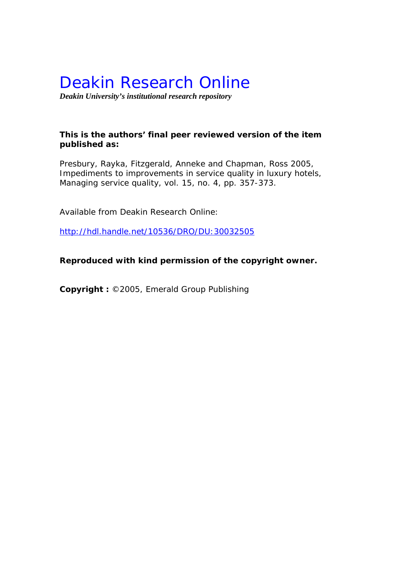# Deakin Research Online

*Deakin University's institutional research repository* 

# **This is the authors' final peer reviewed version of the item published as:**

Presbury, Rayka, Fitzgerald, Anneke and Chapman, Ross 2005, Impediments to improvements in service quality in luxury hotels*, Managing service quality*, vol. 15, no. 4, pp. 357-373.

Available from Deakin Research Online:

http://hdl.handle.net/10536/DRO/DU:30032505

**Reproduced with kind permission of the copyright owner.**

**Copyright :** ©2005, Emerald Group Publishing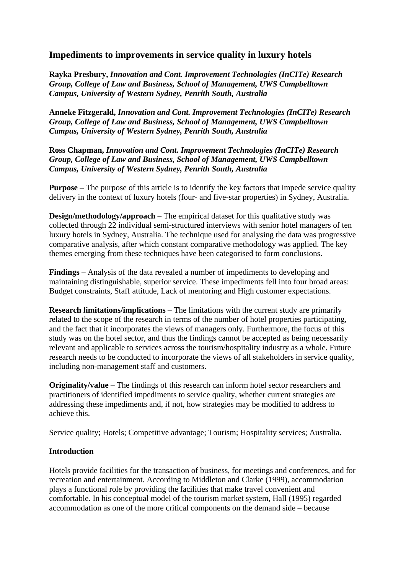# **Impediments to improvements in service quality in luxury hotels**

**Rayka Presbury,** *Innovation and Cont. Improvement Technologies (InCITe) Research Group, College of Law and Business, School of Management, UWS Campbelltown Campus, University of Western Sydney, Penrith South, Australia*

**Anneke Fitzgerald,** *Innovation and Cont. Improvement Technologies (InCITe) Research Group, College of Law and Business, School of Management, UWS Campbelltown Campus, University of Western Sydney, Penrith South, Australia*

**Ross Chapman,** *Innovation and Cont. Improvement Technologies (InCITe) Research Group, College of Law and Business, School of Management, UWS Campbelltown Campus, University of Western Sydney, Penrith South, Australia*

**Purpose** – The purpose of this article is to identify the key factors that impede service quality delivery in the context of luxury hotels (four- and five-star properties) in Sydney, Australia.

**Design/methodology/approach** – The empirical dataset for this qualitative study was collected through 22 individual semi-structured interviews with senior hotel managers of ten luxury hotels in Sydney, Australia. The technique used for analysing the data was progressive comparative analysis, after which constant comparative methodology was applied. The key themes emerging from these techniques have been categorised to form conclusions.

**Findings** – Analysis of the data revealed a number of impediments to developing and maintaining distinguishable, superior service. These impediments fell into four broad areas: Budget constraints, Staff attitude, Lack of mentoring and High customer expectations.

**Research limitations/implications** – The limitations with the current study are primarily related to the scope of the research in terms of the number of hotel properties participating, and the fact that it incorporates the views of managers only. Furthermore, the focus of this study was on the hotel sector, and thus the findings cannot be accepted as being necessarily relevant and applicable to services across the tourism/hospitality industry as a whole. Future research needs to be conducted to incorporate the views of all stakeholders in service quality, including non-management staff and customers.

**Originality/value** – The findings of this research can inform hotel sector researchers and practitioners of identified impediments to service quality, whether current strategies are addressing these impediments and, if not, how strategies may be modified to address to achieve this.

Service quality; Hotels; Competitive advantage; Tourism; Hospitality services; Australia.

# **Introduction**

Hotels provide facilities for the transaction of business, for meetings and conferences, and for recreation and entertainment. According to Middleton and Clarke (1999), accommodation plays a functional role by providing the facilities that make travel convenient and comfortable. In his conceptual model of the tourism market system, Hall (1995) regarded accommodation as one of the more critical components on the demand side – because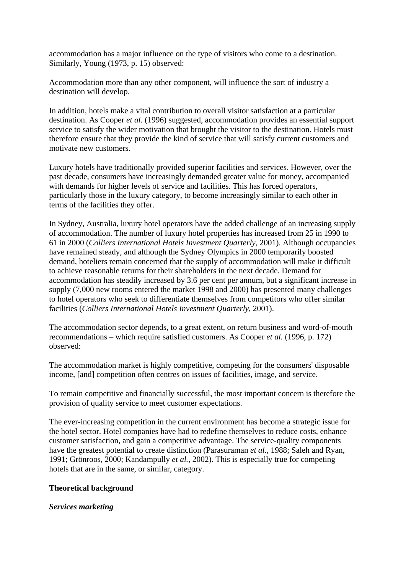accommodation has a major influence on the type of visitors who come to a destination. Similarly, Young (1973, p. 15) observed:

Accommodation more than any other component, will influence the sort of industry a destination will develop.

In addition, hotels make a vital contribution to overall visitor satisfaction at a particular destination. As Cooper *et al.* (1996) suggested, accommodation provides an essential support service to satisfy the wider motivation that brought the visitor to the destination. Hotels must therefore ensure that they provide the kind of service that will satisfy current customers and motivate new customers.

Luxury hotels have traditionally provided superior facilities and services. However, over the past decade, consumers have increasingly demanded greater value for money, accompanied with demands for higher levels of service and facilities. This has forced operators, particularly those in the luxury category, to become increasingly similar to each other in terms of the facilities they offer.

In Sydney, Australia, luxury hotel operators have the added challenge of an increasing supply of accommodation. The number of luxury hotel properties has increased from 25 in 1990 to 61 in 2000 (*Colliers International Hotels Investment Quarterly*, 2001). Although occupancies have remained steady, and although the Sydney Olympics in 2000 temporarily boosted demand, hoteliers remain concerned that the supply of accommodation will make it difficult to achieve reasonable returns for their shareholders in the next decade. Demand for accommodation has steadily increased by 3.6 per cent per annum, but a significant increase in supply (7,000 new rooms entered the market 1998 and 2000) has presented many challenges to hotel operators who seek to differentiate themselves from competitors who offer similar facilities (*Colliers International Hotels Investment Quarterly*, 2001).

The accommodation sector depends, to a great extent, on return business and word-of-mouth recommendations – which require satisfied customers. As Cooper *et al.* (1996, p. 172) observed:

The accommodation market is highly competitive, competing for the consumers' disposable income, [and] competition often centres on issues of facilities, image, and service.

To remain competitive and financially successful, the most important concern is therefore the provision of quality service to meet customer expectations.

The ever-increasing competition in the current environment has become a strategic issue for the hotel sector. Hotel companies have had to redefine themselves to reduce costs, enhance customer satisfaction, and gain a competitive advantage. The service-quality components have the greatest potential to create distinction (Parasuraman *et al.*, 1988; Saleh and Ryan, 1991; Grönroos, 2000; Kandampully *et al.*, 2002). This is especially true for competing hotels that are in the same, or similar, category.

# **Theoretical background**

#### *Services marketing*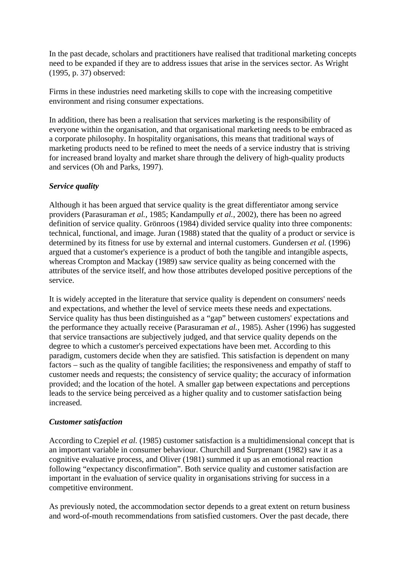In the past decade, scholars and practitioners have realised that traditional marketing concepts need to be expanded if they are to address issues that arise in the services sector. As Wright (1995, p. 37) observed:

Firms in these industries need marketing skills to cope with the increasing competitive environment and rising consumer expectations.

In addition, there has been a realisation that services marketing is the responsibility of everyone within the organisation, and that organisational marketing needs to be embraced as a corporate philosophy. In hospitality organisations, this means that traditional ways of marketing products need to be refined to meet the needs of a service industry that is striving for increased brand loyalty and market share through the delivery of high-quality products and services (Oh and Parks, 1997).

#### *Service quality*

Although it has been argued that service quality is the great differentiator among service providers (Parasuraman *et al.*, 1985; Kandampully *et al.*, 2002), there has been no agreed definition of service quality. Grönroos (1984) divided service quality into three components: technical, functional, and image. Juran (1988) stated that the quality of a product or service is determined by its fitness for use by external and internal customers. Gundersen *et al.* (1996) argued that a customer's experience is a product of both the tangible and intangible aspects, whereas Crompton and Mackay (1989) saw service quality as being concerned with the attributes of the service itself, and how those attributes developed positive perceptions of the service.

It is widely accepted in the literature that service quality is dependent on consumers' needs and expectations, and whether the level of service meets these needs and expectations. Service quality has thus been distinguished as a "gap" between customers' expectations and the performance they actually receive (Parasuraman *et al.*, 1985). Asher (1996) has suggested that service transactions are subjectively judged, and that service quality depends on the degree to which a customer's perceived expectations have been met. According to this paradigm, customers decide when they are satisfied. This satisfaction is dependent on many factors – such as the quality of tangible facilities; the responsiveness and empathy of staff to customer needs and requests; the consistency of service quality; the accuracy of information provided; and the location of the hotel. A smaller gap between expectations and perceptions leads to the service being perceived as a higher quality and to customer satisfaction being increased.

#### *Customer satisfaction*

According to Czepiel *et al.* (1985) customer satisfaction is a multidimensional concept that is an important variable in consumer behaviour. Churchill and Surprenant (1982) saw it as a cognitive evaluative process, and Oliver (1981) summed it up as an emotional reaction following "expectancy disconfirmation". Both service quality and customer satisfaction are important in the evaluation of service quality in organisations striving for success in a competitive environment.

As previously noted, the accommodation sector depends to a great extent on return business and word-of-mouth recommendations from satisfied customers. Over the past decade, there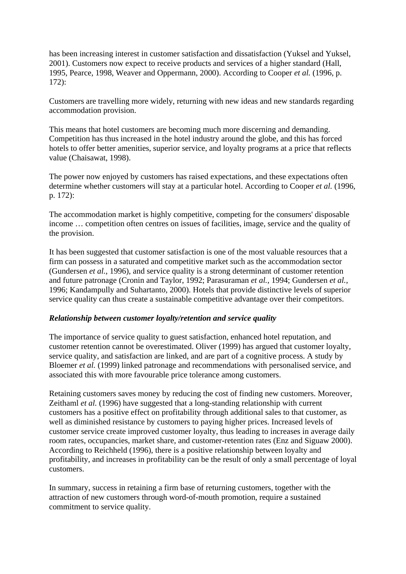has been increasing interest in customer satisfaction and dissatisfaction (Yuksel and Yuksel, 2001). Customers now expect to receive products and services of a higher standard (Hall, 1995, Pearce, 1998, Weaver and Oppermann, 2000). According to Cooper *et al.* (1996, p. 172):

Customers are travelling more widely, returning with new ideas and new standards regarding accommodation provision.

This means that hotel customers are becoming much more discerning and demanding. Competition has thus increased in the hotel industry around the globe, and this has forced hotels to offer better amenities, superior service, and loyalty programs at a price that reflects value (Chaisawat, 1998).

The power now enjoyed by customers has raised expectations, and these expectations often determine whether customers will stay at a particular hotel. According to Cooper *et al.* (1996, p. 172):

The accommodation market is highly competitive, competing for the consumers' disposable income … competition often centres on issues of facilities, image, service and the quality of the provision.

It has been suggested that customer satisfaction is one of the most valuable resources that a firm can possess in a saturated and competitive market such as the accommodation sector (Gundersen *et al.*, 1996), and service quality is a strong determinant of customer retention and future patronage (Cronin and Taylor, 1992; Parasuraman *et al.*, 1994; Gundersen *et al.*, 1996; Kandampully and Suhartanto, 2000). Hotels that provide distinctive levels of superior service quality can thus create a sustainable competitive advantage over their competitors.

#### *Relationship between customer loyalty/retention and service quality*

The importance of service quality to guest satisfaction, enhanced hotel reputation, and customer retention cannot be overestimated. Oliver (1999) has argued that customer loyalty, service quality, and satisfaction are linked, and are part of a cognitive process. A study by Bloemer *et al.* (1999) linked patronage and recommendations with personalised service, and associated this with more favourable price tolerance among customers.

Retaining customers saves money by reducing the cost of finding new customers. Moreover, Zeithaml *et al.* (1996) have suggested that a long-standing relationship with current customers has a positive effect on profitability through additional sales to that customer, as well as diminished resistance by customers to paying higher prices. Increased levels of customer service create improved customer loyalty, thus leading to increases in average daily room rates, occupancies, market share, and customer-retention rates (Enz and Siguaw 2000). According to Reichheld (1996), there is a positive relationship between loyalty and profitability, and increases in profitability can be the result of only a small percentage of loyal customers.

In summary, success in retaining a firm base of returning customers, together with the attraction of new customers through word-of-mouth promotion, require a sustained commitment to service quality.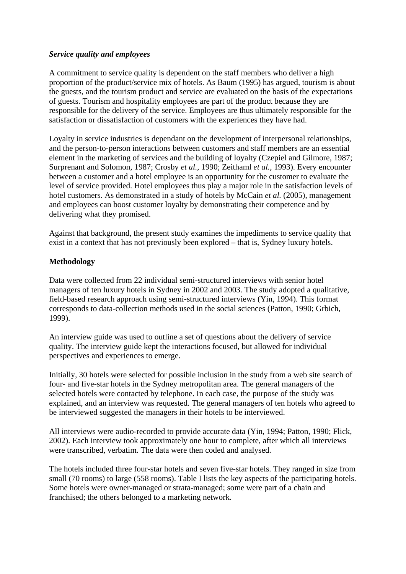#### *Service quality and employees*

A commitment to service quality is dependent on the staff members who deliver a high proportion of the product/service mix of hotels. As Baum (1995) has argued, tourism is about the guests, and the tourism product and service are evaluated on the basis of the expectations of guests. Tourism and hospitality employees are part of the product because they are responsible for the delivery of the service. Employees are thus ultimately responsible for the satisfaction or dissatisfaction of customers with the experiences they have had.

Loyalty in service industries is dependant on the development of interpersonal relationships, and the person-to-person interactions between customers and staff members are an essential element in the marketing of services and the building of loyalty (Czepiel and Gilmore, 1987; Surprenant and Solomon, 1987; Crosby *et al.*, 1990; Zeithaml *et al.*, 1993). Every encounter between a customer and a hotel employee is an opportunity for the customer to evaluate the level of service provided. Hotel employees thus play a major role in the satisfaction levels of hotel customers. As demonstrated in a study of hotels by McCain *et al.* (2005), management and employees can boost customer loyalty by demonstrating their competence and by delivering what they promised.

Against that background, the present study examines the impediments to service quality that exist in a context that has not previously been explored – that is, Sydney luxury hotels.

#### **Methodology**

Data were collected from 22 individual semi-structured interviews with senior hotel managers of ten luxury hotels in Sydney in 2002 and 2003. The study adopted a qualitative, field-based research approach using semi-structured interviews (Yin, 1994). This format corresponds to data-collection methods used in the social sciences (Patton, 1990; Grbich, 1999).

An interview guide was used to outline a set of questions about the delivery of service quality. The interview guide kept the interactions focused, but allowed for individual perspectives and experiences to emerge.

Initially, 30 hotels were selected for possible inclusion in the study from a web site search of four- and five-star hotels in the Sydney metropolitan area. The general managers of the selected hotels were contacted by telephone. In each case, the purpose of the study was explained, and an interview was requested. The general managers of ten hotels who agreed to be interviewed suggested the managers in their hotels to be interviewed.

All interviews were audio-recorded to provide accurate data (Yin, 1994; Patton, 1990; Flick, 2002). Each interview took approximately one hour to complete, after which all interviews were transcribed, verbatim. The data were then coded and analysed.

The hotels included three four-star hotels and seven five-star hotels. They ranged in size from small (70 rooms) to large (558 rooms). Table I lists the key aspects of the participating hotels. Some hotels were owner-managed or strata-managed; some were part of a chain and franchised; the others belonged to a marketing network.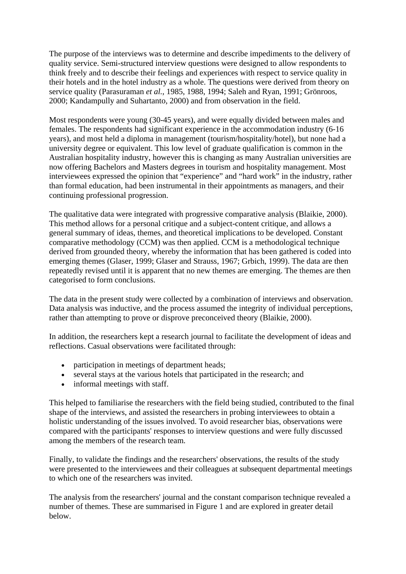The purpose of the interviews was to determine and describe impediments to the delivery of quality service. Semi-structured interview questions were designed to allow respondents to think freely and to describe their feelings and experiences with respect to service quality in their hotels and in the hotel industry as a whole. The questions were derived from theory on service quality (Parasuraman *et al.*, 1985, 1988, 1994; Saleh and Ryan, 1991; Grönroos, 2000; Kandampully and Suhartanto, 2000) and from observation in the field.

Most respondents were young (30-45 years), and were equally divided between males and females. The respondents had significant experience in the accommodation industry (6-16 years), and most held a diploma in management (tourism/hospitality/hotel), but none had a university degree or equivalent. This low level of graduate qualification is common in the Australian hospitality industry, however this is changing as many Australian universities are now offering Bachelors and Masters degrees in tourism and hospitality management. Most interviewees expressed the opinion that "experience" and "hard work" in the industry, rather than formal education, had been instrumental in their appointments as managers, and their continuing professional progression.

The qualitative data were integrated with progressive comparative analysis (Blaikie, 2000). This method allows for a personal critique and a subject-content critique, and allows a general summary of ideas, themes, and theoretical implications to be developed. Constant comparative methodology (CCM) was then applied. CCM is a methodological technique derived from grounded theory, whereby the information that has been gathered is coded into emerging themes (Glaser, 1999; Glaser and Strauss, 1967; Grbich, 1999). The data are then repeatedly revised until it is apparent that no new themes are emerging. The themes are then categorised to form conclusions.

The data in the present study were collected by a combination of interviews and observation. Data analysis was inductive, and the process assumed the integrity of individual perceptions, rather than attempting to prove or disprove preconceived theory (Blaikie, 2000).

In addition, the researchers kept a research journal to facilitate the development of ideas and reflections. Casual observations were facilitated through:

- participation in meetings of department heads;
- several stays at the various hotels that participated in the research; and
- informal meetings with staff.

This helped to familiarise the researchers with the field being studied, contributed to the final shape of the interviews, and assisted the researchers in probing interviewees to obtain a holistic understanding of the issues involved. To avoid researcher bias, observations were compared with the participants' responses to interview questions and were fully discussed among the members of the research team.

Finally, to validate the findings and the researchers' observations, the results of the study were presented to the interviewees and their colleagues at subsequent departmental meetings to which one of the researchers was invited.

The analysis from the researchers' journal and the constant comparison technique revealed a number of themes. These are summarised in Figure 1 and are explored in greater detail below.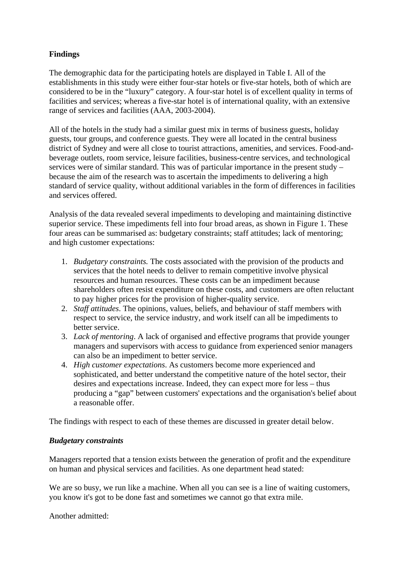# **Findings**

The demographic data for the participating hotels are displayed in Table I. All of the establishments in this study were either four-star hotels or five-star hotels, both of which are considered to be in the "luxury" category. A four-star hotel is of excellent quality in terms of facilities and services; whereas a five-star hotel is of international quality, with an extensive range of services and facilities (AAA, 2003-2004).

All of the hotels in the study had a similar guest mix in terms of business guests, holiday guests, tour groups, and conference guests. They were all located in the central business district of Sydney and were all close to tourist attractions, amenities, and services. Food-andbeverage outlets, room service, leisure facilities, business-centre services, and technological services were of similar standard. This was of particular importance in the present study – because the aim of the research was to ascertain the impediments to delivering a high standard of service quality, without additional variables in the form of differences in facilities and services offered.

Analysis of the data revealed several impediments to developing and maintaining distinctive superior service. These impediments fell into four broad areas, as shown in Figure 1. These four areas can be summarised as: budgetary constraints; staff attitudes; lack of mentoring; and high customer expectations:

- 1. *Budgetary constraints.* The costs associated with the provision of the products and services that the hotel needs to deliver to remain competitive involve physical resources and human resources. These costs can be an impediment because shareholders often resist expenditure on these costs, and customers are often reluctant to pay higher prices for the provision of higher-quality service.
- 2. *Staff attitudes*. The opinions, values, beliefs, and behaviour of staff members with respect to service, the service industry, and work itself can all be impediments to better service.
- 3. *Lack of mentoring*. A lack of organised and effective programs that provide younger managers and supervisors with access to guidance from experienced senior managers can also be an impediment to better service.
- 4. *High customer expectations*. As customers become more experienced and sophisticated, and better understand the competitive nature of the hotel sector, their desires and expectations increase. Indeed, they can expect more for less – thus producing a "gap" between customers' expectations and the organisation's belief about a reasonable offer.

The findings with respect to each of these themes are discussed in greater detail below.

# *Budgetary constraints*

Managers reported that a tension exists between the generation of profit and the expenditure on human and physical services and facilities. As one department head stated:

We are so busy, we run like a machine. When all you can see is a line of waiting customers, you know it's got to be done fast and sometimes we cannot go that extra mile.

Another admitted: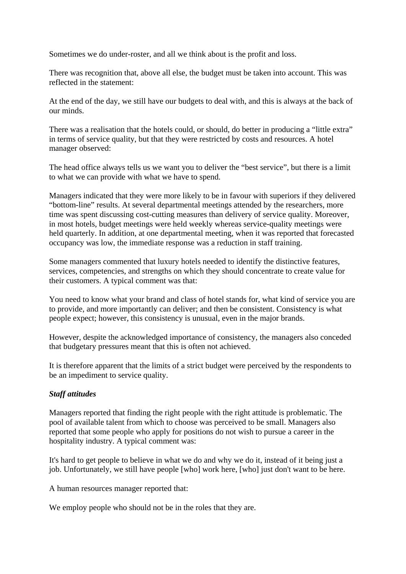Sometimes we do under-roster, and all we think about is the profit and loss.

There was recognition that, above all else, the budget must be taken into account. This was reflected in the statement:

At the end of the day, we still have our budgets to deal with, and this is always at the back of our minds.

There was a realisation that the hotels could, or should, do better in producing a "little extra" in terms of service quality, but that they were restricted by costs and resources. A hotel manager observed:

The head office always tells us we want you to deliver the "best service", but there is a limit to what we can provide with what we have to spend.

Managers indicated that they were more likely to be in favour with superiors if they delivered "bottom-line" results. At several departmental meetings attended by the researchers, more time was spent discussing cost-cutting measures than delivery of service quality. Moreover, in most hotels, budget meetings were held weekly whereas service-quality meetings were held quarterly. In addition, at one departmental meeting, when it was reported that forecasted occupancy was low, the immediate response was a reduction in staff training.

Some managers commented that luxury hotels needed to identify the distinctive features, services, competencies, and strengths on which they should concentrate to create value for their customers. A typical comment was that:

You need to know what your brand and class of hotel stands for, what kind of service you are to provide, and more importantly can deliver; and then be consistent. Consistency is what people expect; however, this consistency is unusual, even in the major brands.

However, despite the acknowledged importance of consistency, the managers also conceded that budgetary pressures meant that this is often not achieved.

It is therefore apparent that the limits of a strict budget were perceived by the respondents to be an impediment to service quality.

# *Staff attitudes*

Managers reported that finding the right people with the right attitude is problematic. The pool of available talent from which to choose was perceived to be small. Managers also reported that some people who apply for positions do not wish to pursue a career in the hospitality industry. A typical comment was:

It's hard to get people to believe in what we do and why we do it, instead of it being just a job. Unfortunately, we still have people [who] work here, [who] just don't want to be here.

A human resources manager reported that:

We employ people who should not be in the roles that they are.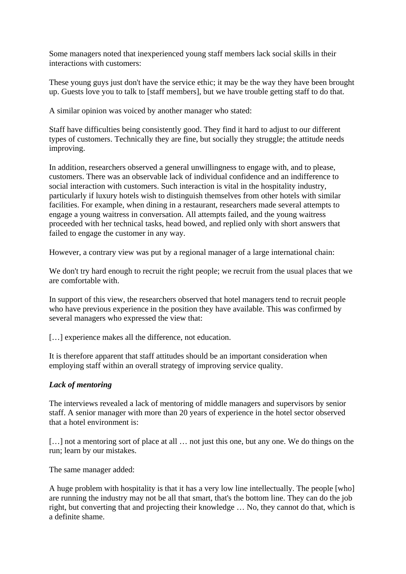Some managers noted that inexperienced young staff members lack social skills in their interactions with customers:

These young guys just don't have the service ethic; it may be the way they have been brought up. Guests love you to talk to [staff members], but we have trouble getting staff to do that.

A similar opinion was voiced by another manager who stated:

Staff have difficulties being consistently good. They find it hard to adjust to our different types of customers. Technically they are fine, but socially they struggle; the attitude needs improving.

In addition, researchers observed a general unwillingness to engage with, and to please, customers. There was an observable lack of individual confidence and an indifference to social interaction with customers. Such interaction is vital in the hospitality industry, particularly if luxury hotels wish to distinguish themselves from other hotels with similar facilities. For example, when dining in a restaurant, researchers made several attempts to engage a young waitress in conversation. All attempts failed, and the young waitress proceeded with her technical tasks, head bowed, and replied only with short answers that failed to engage the customer in any way.

However, a contrary view was put by a regional manager of a large international chain:

We don't try hard enough to recruit the right people; we recruit from the usual places that we are comfortable with.

In support of this view, the researchers observed that hotel managers tend to recruit people who have previous experience in the position they have available. This was confirmed by several managers who expressed the view that:

[...] experience makes all the difference, not education.

It is therefore apparent that staff attitudes should be an important consideration when employing staff within an overall strategy of improving service quality.

# *Lack of mentoring*

The interviews revealed a lack of mentoring of middle managers and supervisors by senior staff. A senior manager with more than 20 years of experience in the hotel sector observed that a hotel environment is:

[...] not a mentoring sort of place at all ... not just this one, but any one. We do things on the run; learn by our mistakes.

The same manager added:

A huge problem with hospitality is that it has a very low line intellectually. The people [who] are running the industry may not be all that smart, that's the bottom line. They can do the job right, but converting that and projecting their knowledge … No, they cannot do that, which is a definite shame.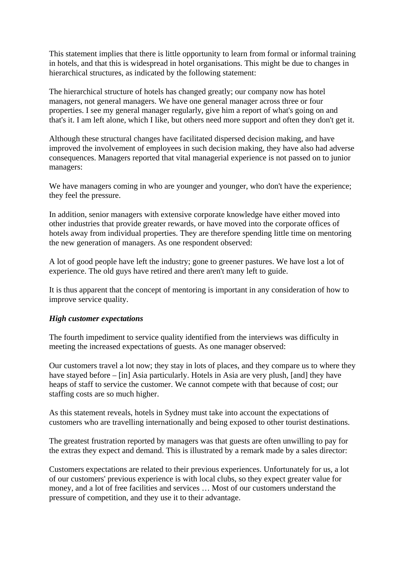This statement implies that there is little opportunity to learn from formal or informal training in hotels, and that this is widespread in hotel organisations. This might be due to changes in hierarchical structures, as indicated by the following statement:

The hierarchical structure of hotels has changed greatly; our company now has hotel managers, not general managers. We have one general manager across three or four properties. I see my general manager regularly, give him a report of what's going on and that's it. I am left alone, which I like, but others need more support and often they don't get it.

Although these structural changes have facilitated dispersed decision making, and have improved the involvement of employees in such decision making, they have also had adverse consequences. Managers reported that vital managerial experience is not passed on to junior managers:

We have managers coming in who are younger and younger, who don't have the experience; they feel the pressure.

In addition, senior managers with extensive corporate knowledge have either moved into other industries that provide greater rewards, or have moved into the corporate offices of hotels away from individual properties. They are therefore spending little time on mentoring the new generation of managers. As one respondent observed:

A lot of good people have left the industry; gone to greener pastures. We have lost a lot of experience. The old guys have retired and there aren't many left to guide.

It is thus apparent that the concept of mentoring is important in any consideration of how to improve service quality.

#### *High customer expectations*

The fourth impediment to service quality identified from the interviews was difficulty in meeting the increased expectations of guests. As one manager observed:

Our customers travel a lot now; they stay in lots of places, and they compare us to where they have stayed before – [in] Asia particularly. Hotels in Asia are very plush, [and] they have heaps of staff to service the customer. We cannot compete with that because of cost; our staffing costs are so much higher.

As this statement reveals, hotels in Sydney must take into account the expectations of customers who are travelling internationally and being exposed to other tourist destinations.

The greatest frustration reported by managers was that guests are often unwilling to pay for the extras they expect and demand. This is illustrated by a remark made by a sales director:

Customers expectations are related to their previous experiences. Unfortunately for us, a lot of our customers' previous experience is with local clubs, so they expect greater value for money, and a lot of free facilities and services … Most of our customers understand the pressure of competition, and they use it to their advantage.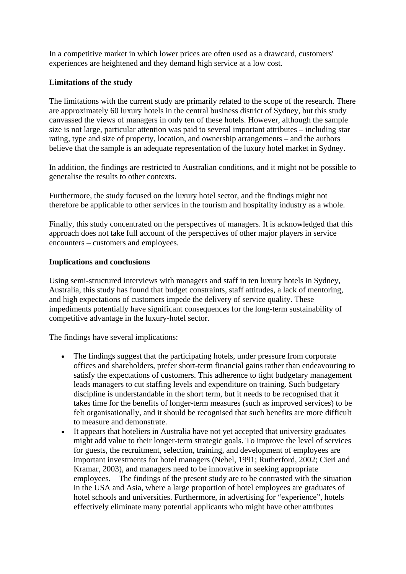In a competitive market in which lower prices are often used as a drawcard, customers' experiences are heightened and they demand high service at a low cost.

# **Limitations of the study**

The limitations with the current study are primarily related to the scope of the research. There are approximately 60 luxury hotels in the central business district of Sydney, but this study canvassed the views of managers in only ten of these hotels. However, although the sample size is not large, particular attention was paid to several important attributes – including star rating, type and size of property, location, and ownership arrangements – and the authors believe that the sample is an adequate representation of the luxury hotel market in Sydney.

In addition, the findings are restricted to Australian conditions, and it might not be possible to generalise the results to other contexts.

Furthermore, the study focused on the luxury hotel sector, and the findings might not therefore be applicable to other services in the tourism and hospitality industry as a whole.

Finally, this study concentrated on the perspectives of managers. It is acknowledged that this approach does not take full account of the perspectives of other major players in service encounters – customers and employees.

# **Implications and conclusions**

Using semi-structured interviews with managers and staff in ten luxury hotels in Sydney, Australia, this study has found that budget constraints, staff attitudes, a lack of mentoring, and high expectations of customers impede the delivery of service quality. These impediments potentially have significant consequences for the long-term sustainability of competitive advantage in the luxury-hotel sector.

The findings have several implications:

- The findings suggest that the participating hotels, under pressure from corporate offices and shareholders, prefer short-term financial gains rather than endeavouring to satisfy the expectations of customers. This adherence to tight budgetary management leads managers to cut staffing levels and expenditure on training. Such budgetary discipline is understandable in the short term, but it needs to be recognised that it takes time for the benefits of longer-term measures (such as improved services) to be felt organisationally, and it should be recognised that such benefits are more difficult to measure and demonstrate.
- It appears that hoteliers in Australia have not yet accepted that university graduates might add value to their longer-term strategic goals. To improve the level of services for guests, the recruitment, selection, training, and development of employees are important investments for hotel managers (Nebel, 1991; Rutherford, 2002; Cieri and Kramar, 2003), and managers need to be innovative in seeking appropriate employees. The findings of the present study are to be contrasted with the situation in the USA and Asia, where a large proportion of hotel employees are graduates of hotel schools and universities. Furthermore, in advertising for "experience", hotels effectively eliminate many potential applicants who might have other attributes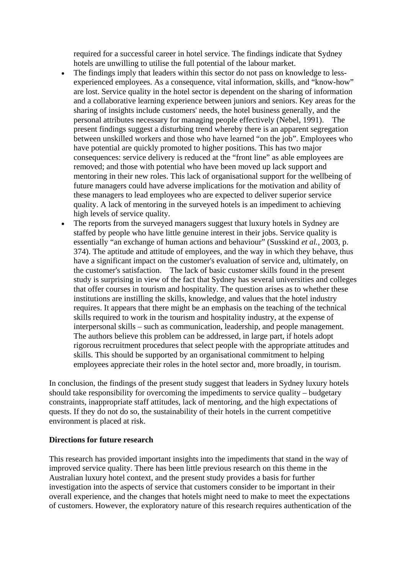required for a successful career in hotel service. The findings indicate that Sydney hotels are unwilling to utilise the full potential of the labour market.

- The findings imply that leaders within this sector do not pass on knowledge to lessexperienced employees. As a consequence, vital information, skills, and "know-how" are lost. Service quality in the hotel sector is dependent on the sharing of information and a collaborative learning experience between juniors and seniors. Key areas for the sharing of insights include customers' needs, the hotel business generally, and the personal attributes necessary for managing people effectively (Nebel, 1991). The present findings suggest a disturbing trend whereby there is an apparent segregation between unskilled workers and those who have learned "on the job". Employees who have potential are quickly promoted to higher positions. This has two major consequences: service delivery is reduced at the "front line" as able employees are removed; and those with potential who have been moved up lack support and mentoring in their new roles. This lack of organisational support for the wellbeing of future managers could have adverse implications for the motivation and ability of these managers to lead employees who are expected to deliver superior service quality. A lack of mentoring in the surveyed hotels is an impediment to achieving high levels of service quality.
- The reports from the surveyed managers suggest that luxury hotels in Sydney are staffed by people who have little genuine interest in their jobs. Service quality is essentially "an exchange of human actions and behaviour" (Susskind *et al.*, 2003, p. 374). The aptitude and attitude of employees, and the way in which they behave, thus have a significant impact on the customer's evaluation of service and, ultimately, on the customer's satisfaction. The lack of basic customer skills found in the present study is surprising in view of the fact that Sydney has several universities and colleges that offer courses in tourism and hospitality. The question arises as to whether these institutions are instilling the skills, knowledge, and values that the hotel industry requires. It appears that there might be an emphasis on the teaching of the technical skills required to work in the tourism and hospitality industry, at the expense of interpersonal skills – such as communication, leadership, and people management. The authors believe this problem can be addressed, in large part, if hotels adopt rigorous recruitment procedures that select people with the appropriate attitudes and skills. This should be supported by an organisational commitment to helping employees appreciate their roles in the hotel sector and, more broadly, in tourism.

In conclusion, the findings of the present study suggest that leaders in Sydney luxury hotels should take responsibility for overcoming the impediments to service quality – budgetary constraints, inappropriate staff attitudes, lack of mentoring, and the high expectations of quests. If they do not do so, the sustainability of their hotels in the current competitive environment is placed at risk.

#### **Directions for future research**

This research has provided important insights into the impediments that stand in the way of improved service quality. There has been little previous research on this theme in the Australian luxury hotel context, and the present study provides a basis for further investigation into the aspects of service that customers consider to be important in their overall experience, and the changes that hotels might need to make to meet the expectations of customers. However, the exploratory nature of this research requires authentication of the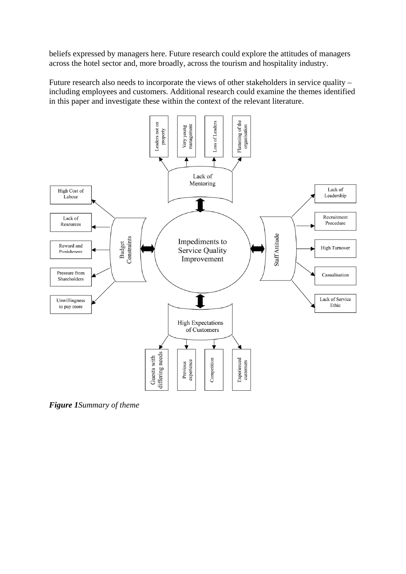beliefs expressed by managers here. Future research could explore the attitudes of managers across the hotel sector and, more broadly, across the tourism and hospitality industry.

Future research also needs to incorporate the views of other stakeholders in service quality – including employees and customers. Additional research could examine the themes identified in this paper and investigate these within the context of the relevant literature.



*Figure 1Summary of theme*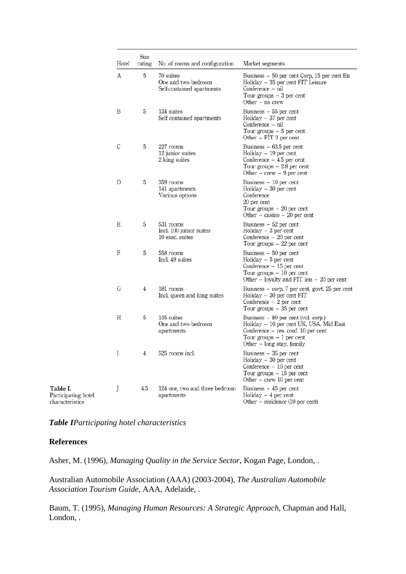| Hotel                                       | Star<br>rating | No. of rooms and configuration                                | Market segments                                                                                                                                                                   |
|---------------------------------------------|----------------|---------------------------------------------------------------|-----------------------------------------------------------------------------------------------------------------------------------------------------------------------------------|
| А                                           | 5              | 70 suites<br>One and two bedroom<br>Self-contained apartments | Business – 50 per cent Corp, 15 per cent En<br>Holiday – 35 per cent FIT Leisure<br>Conference - nil<br>Tour groups $-3$ per cent<br>Other $-$ no crew                            |
| B                                           | 5              | 134 suites<br>Self contained apartments                       | Business $-55$ per cent<br>$Holiday - 37 per cent$<br>Conference – nil<br>Tour groups $-5$ per cent<br>Other – FIT 3 per cent                                                     |
| $\mathsf C$                                 | 5              | 227 rooms<br>12 junior suites<br>2 king suites                | Business $-63.5$ per cent<br>$Holiday - 19 per cent$<br>Conference $-4.5$ per cent<br>Tour groups $-2.8$ per cent<br>Other – crew – 9 per cent                                    |
| D                                           | 5              | 359 rooms<br>141 apartments<br>Various options                | Business $-10$ per cent<br>$Holiday - 30 per cent$<br>Conference<br>20 per cent<br>Tour groups $-20$ per cent<br>Other – casino – 20 per cent                                     |
| Е                                           | 5              | 531 rooms<br>Incl. 100 junior suites<br>10 exec. suites       | Business $-52$ per cent<br>Holiday $-3$ per cent<br>Conference $-20$ per cent<br>Tour groups $-22$ per cent                                                                       |
| F                                           | 5              | 558 rooms<br>Incl. 49 suites                                  | Business $-50$ per cent<br>$Holiday - 5 per cent$<br>Conference - 15 per cent<br>Tour groups $-10$ per cent<br>Other $-$ loyalty and FIT leis $-20$ per cent                      |
| G                                           | 4              | 181 rooms<br>Incl. queen and king suites                      | Business - corp. 7 per cent, govt. 25 per cent<br>$Holiday - 30 per cent FIT$<br>Conference $-2$ per cent<br>Tour groups $-35$ per cent                                           |
| Η                                           | 5              | 135 suites<br>One and two bedroom<br>apartments               | Business – 80 per cent (vol. corp.)<br>Holiday – 10 per cent UK, USA, Mid East<br>Conference $-$ res. conf. 10 per cent<br>Tour groups $-1$ per cent<br>Other – long stay, family |
| I                                           | 4              | 525 rooms incl.                                               | Business - 35 per cent<br>$Holiday - 30 per cent$<br>Conference - 10 per cent<br>Tour groups $-15$ per cent<br>Other $-$ crew 10 per cent                                         |
| J<br>Participating hotel<br>characteristics | 4.5            | 124 one, two and three bedroom<br>apartments                  | Business - 45 per cent<br>Holiday $-4$ per cent<br>Other $-$ residence (10 per cent)                                                                                              |

*Table IParticipating hotel characteristics*

#### **References**

Asher, M. (1996), *Managing Quality in the Service Sector*, Kogan Page, London, .

Australian Automobile Association (AAA) (2003-2004), *The Australian Automobile Association Tourism Guide*, AAA, Adelaide, .

Baum, T. (1995), *Managing Human Resources: A Strategic Approach*, Chapman and Hall, London, .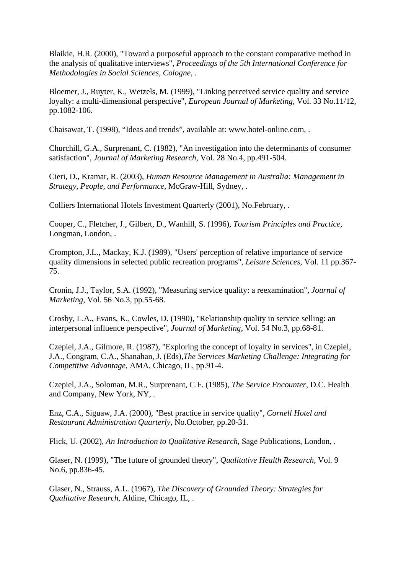Blaikie, H.R. (2000), "Toward a purposeful approach to the constant comparative method in the analysis of qualitative interviews", *Proceedings of the 5th International Conference for Methodologies in Social Sciences, Cologne*, .

Bloemer, J., Ruyter, K., Wetzels, M. (1999), "Linking perceived service quality and service loyalty: a multi-dimensional perspective", *European Journal of Marketing*, Vol. 33 No.11/12, pp.1082-106.

Chaisawat, T. (1998), "Ideas and trends", available at: www.hotel-online.com, .

Churchill, G.A., Surprenant, C. (1982), "An investigation into the determinants of consumer satisfaction", *Journal of Marketing Research*, Vol. 28 No.4, pp.491-504.

Cieri, D., Kramar, R. (2003), *Human Resource Management in Australia: Management in Strategy, People, and Performance*, McGraw-Hill, Sydney, .

Colliers International Hotels Investment Quarterly (2001), No.February, .

Cooper, C., Fletcher, J., Gilbert, D., Wanhill, S. (1996), *Tourism Principles and Practice*, Longman, London, .

Crompton, J.L., Mackay, K.J. (1989), "Users' perception of relative importance of service quality dimensions in selected public recreation programs", *Leisure Sciences*, Vol. 11 pp.367- 75.

Cronin, J.J., Taylor, S.A. (1992), "Measuring service quality: a reexamination", *Journal of Marketing*, Vol. 56 No.3, pp.55-68.

Crosby, L.A., Evans, K., Cowles, D. (1990), "Relationship quality in service selling: an interpersonal influence perspective", *Journal of Marketing*, Vol. 54 No.3, pp.68-81.

Czepiel, J.A., Gilmore, R. (1987), "Exploring the concept of loyalty in services", in Czepiel, J.A., Congram, C.A., Shanahan, J. (Eds),*The Services Marketing Challenge: Integrating for Competitive Advantage*, AMA, Chicago, IL, pp.91-4.

Czepiel, J.A., Soloman, M.R., Surprenant, C.F. (1985), *The Service Encounter*, D.C. Health and Company, New York, NY, .

Enz, C.A., Siguaw, J.A. (2000), "Best practice in service quality", *Cornell Hotel and Restaurant Administration Quarterly*, No.October, pp.20-31.

Flick, U. (2002), *An Introduction to Qualitative Research*, Sage Publications, London, .

Glaser, N. (1999), "The future of grounded theory", *Qualitative Health Research*, Vol. 9 No.6, pp.836-45.

Glaser, N., Strauss, A.L. (1967), *The Discovery of Grounded Theory: Strategies for Qualitative Research*, Aldine, Chicago, IL, .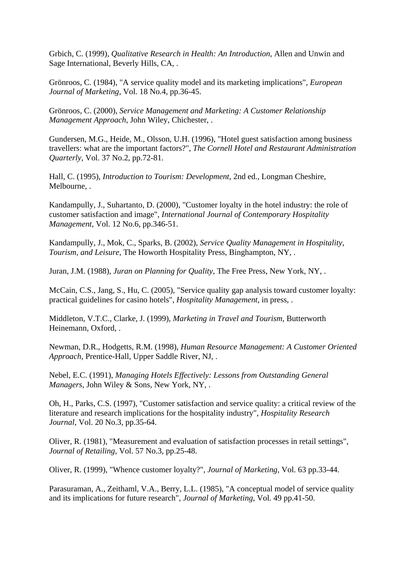Grbich, C. (1999), *Qualitative Research in Health: An Introduction*, Allen and Unwin and Sage International, Beverly Hills, CA, .

Grönroos, C. (1984), "A service quality model and its marketing implications", *European Journal of Marketing*, Vol. 18 No.4, pp.36-45.

Grönroos, C. (2000), *Service Management and Marketing: A Customer Relationship Management Approach*, John Wiley, Chichester, .

Gundersen, M.G., Heide, M., Olsson, U.H. (1996), "Hotel guest satisfaction among business travellers: what are the important factors?", *The Cornell Hotel and Restaurant Administration Quarterly*, Vol. 37 No.2, pp.72-81.

Hall, C. (1995), *Introduction to Tourism: Development*, 2nd ed., Longman Cheshire, Melbourne, .

Kandampully, J., Suhartanto, D. (2000), "Customer loyalty in the hotel industry: the role of customer satisfaction and image", *International Journal of Contemporary Hospitality Management*, Vol. 12 No.6, pp.346-51.

Kandampully, J., Mok, C., Sparks, B. (2002), *Service Quality Management in Hospitality, Tourism, and Leisure*, The Howorth Hospitality Press, Binghampton, NY, .

Juran, J.M. (1988), *Juran on Planning for Quality*, The Free Press, New York, NY, .

McCain, C.S., Jang, S., Hu, C. (2005), "Service quality gap analysis toward customer loyalty: practical guidelines for casino hotels", *Hospitality Management*, in press, .

Middleton, V.T.C., Clarke, J. (1999), *Marketing in Travel and Tourism*, Butterworth Heinemann, Oxford, .

Newman, D.R., Hodgetts, R.M. (1998), *Human Resource Management: A Customer Oriented Approach*, Prentice-Hall, Upper Saddle River, NJ, .

Nebel, E.C. (1991), *Managing Hotels Effectively: Lessons from Outstanding General Managers*, John Wiley & Sons, New York, NY, .

Oh, H., Parks, C.S. (1997), "Customer satisfaction and service quality: a critical review of the literature and research implications for the hospitality industry", *Hospitality Research Journal*, Vol. 20 No.3, pp.35-64.

Oliver, R. (1981), "Measurement and evaluation of satisfaction processes in retail settings", *Journal of Retailing*, Vol. 57 No.3, pp.25-48.

Oliver, R. (1999), "Whence customer loyalty?", *Journal of Marketing*, Vol. 63 pp.33-44.

Parasuraman, A., Zeithaml, V.A., Berry, L.L. (1985), "A conceptual model of service quality and its implications for future research", *Journal of Marketing*, Vol. 49 pp.41-50.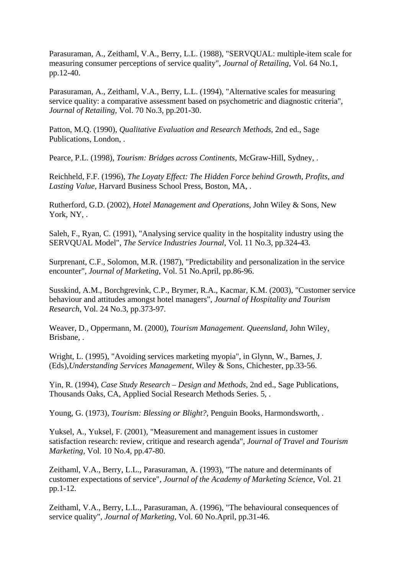Parasuraman, A., Zeithaml, V.A., Berry, L.L. (1988), "SERVQUAL: multiple-item scale for measuring consumer perceptions of service quality", *Journal of Retailing*, Vol. 64 No.1, pp.12-40.

Parasuraman, A., Zeithaml, V.A., Berry, L.L. (1994), "Alternative scales for measuring service quality: a comparative assessment based on psychometric and diagnostic criteria", *Journal of Retailing*, Vol. 70 No.3, pp.201-30.

Patton, M.Q. (1990), *Qualitative Evaluation and Research Methods*, 2nd ed., Sage Publications, London, .

Pearce, P.L. (1998), *Tourism: Bridges across Continents*, McGraw-Hill, Sydney, .

Reichheld, F.F. (1996), *The Loyaty Effect: The Hidden Force behind Growth, Profits, and Lasting Value*, Harvard Business School Press, Boston, MA, .

Rutherford, G.D. (2002), *Hotel Management and Operations*, John Wiley & Sons, New York, NY, .

Saleh, F., Ryan, C. (1991), "Analysing service quality in the hospitality industry using the SERVQUAL Model", *The Service Industries Journal*, Vol. 11 No.3, pp.324-43.

Surprenant, C.F., Solomon, M.R. (1987), "Predictability and personalization in the service encounter", *Journal of Marketing*, Vol. 51 No.April, pp.86-96.

Susskind, A.M., Borchgrevink, C.P., Brymer, R.A., Kacmar, K.M. (2003), "Customer service behaviour and attitudes amongst hotel managers", *Journal of Hospitality and Tourism Research*, Vol. 24 No.3, pp.373-97.

Weaver, D., Oppermann, M. (2000), *Tourism Management. Queensland*, John Wiley, Brisbane, .

Wright, L. (1995), "Avoiding services marketing myopia", in Glynn, W., Barnes, J. (Eds),*Understanding Services Management*, Wiley & Sons, Chichester, pp.33-56.

Yin, R. (1994), *Case Study Research – Design and Methods*, 2nd ed., Sage Publications, Thousands Oaks, CA, Applied Social Research Methods Series. 5, .

Young, G. (1973), *Tourism: Blessing or Blight?*, Penguin Books, Harmondsworth, .

Yuksel, A., Yuksel, F. (2001), "Measurement and management issues in customer satisfaction research: review, critique and research agenda", *Journal of Travel and Tourism Marketing*, Vol. 10 No.4, pp.47-80.

Zeithaml, V.A., Berry, L.L., Parasuraman, A. (1993), "The nature and determinants of customer expectations of service", *Journal of the Academy of Marketing Science*, Vol. 21 pp.1-12.

Zeithaml, V.A., Berry, L.L., Parasuraman, A. (1996), "The behavioural consequences of service quality", *Journal of Marketing*, Vol. 60 No.April, pp.31-46.